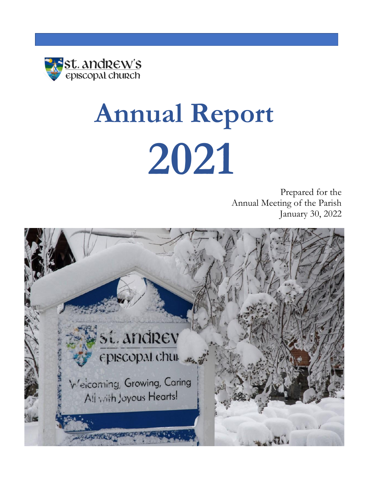

# **Annual Report 2021**

Prepared for the Annual Meeting of the Parish January 30, 2022

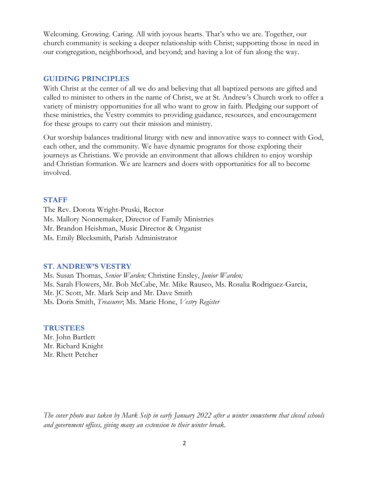Welcoming. Growing. Caring. All with joyous hearts. That's who we are. Together, our church community is seeking a deeper relationship with Christ; supporting those in need in our congregation, neighborhood, and beyond; and having a lot of fun along the way.

#### **GUIDING PRINCIPLES**

With Christ at the center of all we do and believing that all baptized persons are gifted and called to minister to others in the name of Christ, we at St. Andrew's Church work to offer a variety of ministry opportunities for all who want to grow in faith. Pledging our support of these ministries, the Vestry commits to providing guidance, resources, and encouragement for these groups to carry out their mission and ministry.

Our worship balances traditional liturgy with new and innovative ways to connect with God, each other, and the community. We have dynamic programs for those exploring their journeys as Christians. We provide an environment that allows children to enjoy worship and Christian formation. We are learners and doers with opportunities for all to become involved.

#### **STAFF**

The Rev. Dorota Wright-Pruski, Rector Ms. Mallory Nonnemaker, Director of Family Ministries Mr. Brandon Heishman, Music Director & Organist Ms. Emily Blecksmith, Parish Administrator

#### **ST. ANDREW'S VESTRY**

Ms. Susan Thomas, *Senior Warden;* Christine Ensley, *Junior Warden;* Ms. Sarah Flowers, Mr. Bob McCabe, Mr. Mike Rauseo, Ms. Rosalia Rodriguez-Garcia, Mr. JC Scott, Mr. Mark Seip and Mr. Dave Smith Ms. Doris Smith, *Treasurer*; Ms. Marie Hone, *Vestry Register*

#### **TRUSTEES**

Mr. John Bartlett Mr. Richard Knight Mr. Rhett Petcher

*The cover photo was taken by Mark Seip in early January 2022 after a winter snowstorm that closed schools and government offices, giving many an extension to their winter break.*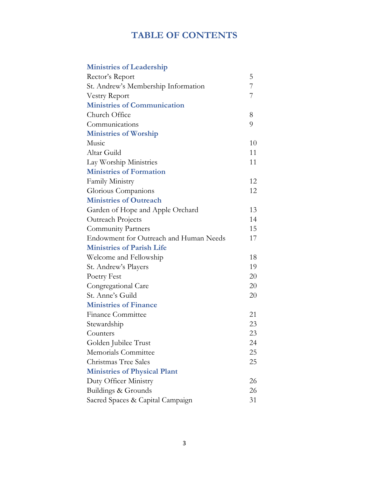# **TABLE OF CONTENTS**

| <b>Ministries of Leadership</b>        |    |
|----------------------------------------|----|
| Rector's Report                        | 5  |
| St. Andrew's Membership Information    | 7  |
| <b>Vestry Report</b>                   | 7  |
| <b>Ministries of Communication</b>     |    |
| Church Office                          | 8  |
| Communications                         | 9  |
| <b>Ministries of Worship</b>           |    |
| Music                                  | 10 |
| Altar Guild                            | 11 |
| Lay Worship Ministries                 | 11 |
| <b>Ministries of Formation</b>         |    |
| Family Ministry                        | 12 |
| Glorious Companions                    | 12 |
| <b>Ministries of Outreach</b>          |    |
| Garden of Hope and Apple Orchard       | 13 |
| Outreach Projects                      | 14 |
| <b>Community Partners</b>              | 15 |
| Endowment for Outreach and Human Needs | 17 |
| <b>Ministries of Parish Life</b>       |    |
| Welcome and Fellowship                 | 18 |
| St. Andrew's Players                   | 19 |
| Poetry Fest                            | 20 |
| Congregational Care                    | 20 |
| St. Anne's Guild                       | 20 |
| <b>Ministries of Finance</b>           |    |
| <b>Finance Committee</b>               | 21 |
| Stewardship                            | 23 |
| Counters                               | 23 |
| Golden Jubilee Trust                   | 24 |
| Memorials Committee                    | 25 |
| Christmas Tree Sales                   | 25 |
| <b>Ministries of Physical Plant</b>    |    |
| Duty Officer Ministry                  | 26 |
| Buildings & Grounds                    | 26 |
| Sacred Spaces & Capital Campaign       | 31 |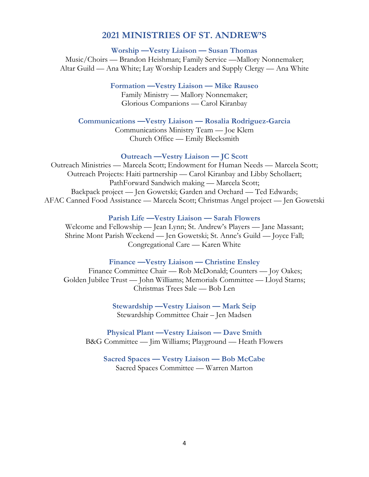### **2021 MINISTRIES OF ST. ANDREW'S**

**Worship —Vestry Liaison — Susan Thomas**

Music/Choirs — Brandon Heishman; Family Service —Mallory Nonnemaker; Altar Guild — Ana White; Lay Worship Leaders and Supply Clergy — Ana White

**Formation —Vestry Liaison — Mike Rauseo**

Family Ministry — Mallory Nonnemaker; Glorious Companions — Carol Kiranbay

**Communications —Vestry Liaison — Rosalia Rodriguez-Garcia**

Communications Ministry Team — Joe Klem Church Office — Emily Blecksmith

#### **Outreach —Vestry Liaison — JC Scott**

Outreach Ministries — Marcela Scott; Endowment for Human Needs — Marcela Scott; Outreach Projects: Haiti partnership — Carol Kiranbay and Libby Schollaert; PathForward Sandwich making — Marcela Scott; Backpack project — Jen Gowetski; Garden and Orchard — Ted Edwards; AFAC Canned Food Assistance — Marcela Scott; Christmas Angel project — Jen Gowetski

**Parish Life —Vestry Liaison — Sarah Flowers**

Welcome and Fellowship — Jean Lynn; St. Andrew's Players — Jane Massant; Shrine Mont Parish Weekend — Jen Gowetski; St. Anne's Guild — Joyce Fall; Congregational Care — Karen White

#### **Finance —Vestry Liaison — Christine Ensley**

Finance Committee Chair — Rob McDonald; Counters — Joy Oakes; Golden Jubilee Trust — John Williams; Memorials Committee — Lloyd Starns; Christmas Trees Sale — Bob Len

> **Stewardship —Vestry Liaison — Mark Seip** Stewardship Committee Chair – Jen Madsen

**Physical Plant —Vestry Liaison — Dave Smith** B&G Committee — Jim Williams; Playground — Heath Flowers

**Sacred Spaces — Vestry Liaison — Bob McCabe** Sacred Spaces Committee — Warren Marton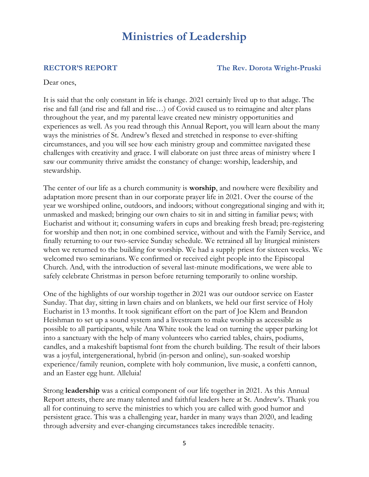# **Ministries of Leadership**

**RECTOR'S REPORT The Rev. Dorota Wright-Pruski**

Dear ones,

It is said that the only constant in life is change. 2021 certainly lived up to that adage. The rise and fall (and rise and fall and rise…) of Covid caused us to reimagine and alter plans throughout the year, and my parental leave created new ministry opportunities and experiences as well. As you read through this Annual Report, you will learn about the many ways the ministries of St. Andrew's flexed and stretched in response to ever-shifting circumstances, and you will see how each ministry group and committee navigated these challenges with creativity and grace. I will elaborate on just three areas of ministry where I saw our community thrive amidst the constancy of change: worship, leadership, and stewardship.

The center of our life as a church community is **worship**, and nowhere were flexibility and adaptation more present than in our corporate prayer life in 2021. Over the course of the year we worshiped online, outdoors, and indoors; without congregational singing and with it; unmasked and masked; bringing our own chairs to sit in and sitting in familiar pews; with Eucharist and without it; consuming wafers in cups and breaking fresh bread; pre-registering for worship and then not; in one combined service, without and with the Family Service, and finally returning to our two-service Sunday schedule. We retrained all lay liturgical ministers when we returned to the building for worship. We had a supply priest for sixteen weeks. We welcomed two seminarians. We confirmed or received eight people into the Episcopal Church. And, with the introduction of several last-minute modifications, we were able to safely celebrate Christmas in person before returning temporarily to online worship.

One of the highlights of our worship together in 2021 was our outdoor service on Easter Sunday. That day, sitting in lawn chairs and on blankets, we held our first service of Holy Eucharist in 13 months. It took significant effort on the part of Joe Klem and Brandon Heishman to set up a sound system and a livestream to make worship as accessible as possible to all participants, while Ana White took the lead on turning the upper parking lot into a sanctuary with the help of many volunteers who carried tables, chairs, podiums, candles, and a makeshift baptismal font from the church building. The result of their labors was a joyful, intergenerational, hybrid (in-person and online), sun-soaked worship experience/family reunion, complete with holy communion, live music, a confetti cannon, and an Easter egg hunt. Alleluia!

Strong **leadership** was a critical component of our life together in 2021. As this Annual Report attests, there are many talented and faithful leaders here at St. Andrew's. Thank you all for continuing to serve the ministries to which you are called with good humor and persistent grace. This was a challenging year, harder in many ways than 2020, and leading through adversity and ever-changing circumstances takes incredible tenacity.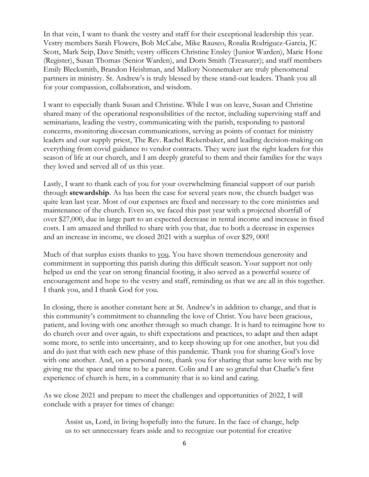In that vein, I want to thank the vestry and staff for their exceptional leadership this year. Vestry members Sarah Flowers, Bob McCabe, Mike Rauseo, Rosalia Rodriguez-Garcia, JC Scott, Mark Seip, Dave Smith; vestry officers Christine Ensley (Junior Warden), Marie Hone (Register), Susan Thomas (Senior Warden), and Doris Smith (Treasurer); and staff members Emily Blecksmith, Brandon Heishman, and Mallory Nonnemaker are truly phenomenal partners in ministry. St. Andrew's is truly blessed by these stand-out leaders. Thank you all for your compassion, collaboration, and wisdom.

I want to especially thank Susan and Christine. While I was on leave, Susan and Christine shared many of the operational responsibilities of the rector, including supervising staff and seminarians, leading the vestry, communicating with the parish, responding to pastoral concerns, monitoring diocesan communications, serving as points of contact for ministry leaders and our supply priest, The Rev. Rachel Rickenbaker, and leading decision-making on everything from covid guidance to vendor contracts. They were just the right leaders for this season of life at our church, and I am deeply grateful to them and their families for the ways they loved and served all of us this year.

Lastly, I want to thank each of you for your overwhelming financial support of our parish through **stewardship**. As has been the case for several years now, the church budget was quite lean last year. Most of our expenses are fixed and necessary to the core ministries and maintenance of the church. Even so, we faced this past year with a projected shortfall of over \$27,000, due in large part to an expected decrease in rental income and increase in fixed costs. I am amazed and thrilled to share with you that, due to both a decrease in expenses and an increase in income, we closed 2021 with a surplus of over \$29, 000!

Much of that surplus exists thanks to you. You have shown tremendous generosity and commitment in supporting this parish during this difficult season. Your support not only helped us end the year on strong financial footing, it also served as a powerful source of encouragement and hope to the vestry and staff, reminding us that we are all in this together. I thank you, and I thank God for you.

In closing, there is another constant here at St. Andrew's in addition to change, and that is this community's commitment to channeling the love of Christ. You have been gracious, patient, and loving with one another through so much change. It is hard to reimagine how to do church over and over again, to shift expectations and practices, to adapt and then adapt some more, to settle into uncertainty, and to keep showing up for one another, but you did and do just that with each new phase of this pandemic. Thank you for sharing God's love with one another. And, on a personal note, thank you for sharing that same love with me by giving me the space and time to be a parent. Colin and I are so grateful that Charlie's first experience of church is here, in a community that is so kind and caring.

As we close 2021 and prepare to meet the challenges and opportunities of 2022, I will conclude with a prayer for times of change:

Assist us, Lord, in living hopefully into the future. In the face of change, help us to set unnecessary fears aside and to recognize our potential for creative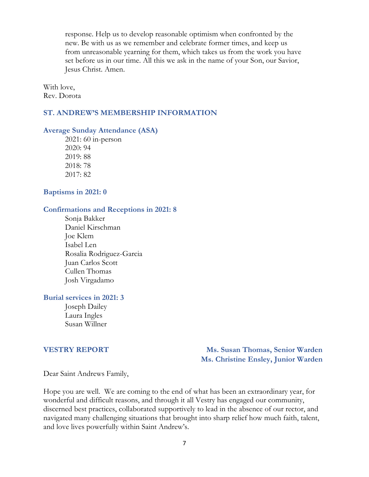response. Help us to develop reasonable optimism when confronted by the new. Be with us as we remember and celebrate former times, and keep us from unreasonable yearning for them, which takes us from the work you have set before us in our time. All this we ask in the name of your Son, our Savior, Jesus Christ. Amen.

With love, Rev. Dorota

#### **ST. ANDREW'S MEMBERSHIP INFORMATION**

#### **Average Sunday Attendance (ASA)**

2021: 60 in-person 2020: 94 2019: 88 2018: 78 2017: 82

#### **Baptisms in 2021: 0**

#### **Confirmations and Receptions in 2021: 8**

Sonja Bakker Daniel Kirschman Joe Klem Isabel Len Rosalia Rodriguez-Garcia Juan Carlos Scott Cullen Thomas Josh Virgadamo

#### **Burial services in 2021: 3**

Joseph Dailey Laura Ingles Susan Willner

**VESTRY REPORT Ms. Susan Thomas, Senior Warden Ms. Christine Ensley, Junior Warden** 

Dear Saint Andrews Family,

Hope you are well. We are coming to the end of what has been an extraordinary year, for wonderful and difficult reasons, and through it all Vestry has engaged our community, discerned best practices, collaborated supportively to lead in the absence of our rector, and navigated many challenging situations that brought into sharp relief how much faith, talent, and love lives powerfully within Saint Andrew's.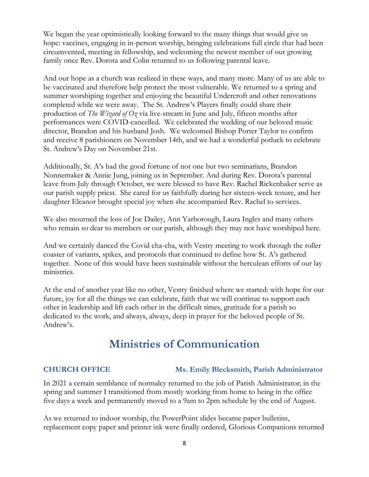We began the year optimistically looking forward to the many things that would give us hope: vaccines, engaging in in-person worship, bringing celebrations full circle that had been circumvented, meeting in fellowship, and welcoming the newest member of our growing family once Rev. Dorota and Colin returned to us following parental leave.

And our hope as a church was realized in these ways, and many more. Many of us are able to be vaccinated and therefore help protect the most vulnerable. We returned to a spring and summer worshiping together and enjoying the beautiful Undercroft and other renovations completed while we were away. The St. Andrew's Players finally could share their production of *The Wizard of Oz* via live-stream in June and July, fifteen months after performances were COVID-cancelled. We celebrated the wedding of our beloved music director, Brandon and his husband Josh. We welcomed Bishop Porter Taylor to confirm and receive 8 parishioners on November 14th, and we had a wonderful potluck to celebrate St. Andrew's Day on November 21st.

Additionally, St. A's had the good fortune of not one but two seminarians, Brandon Nonnemaker & Annie Jung, joining us in September. And during Rev. Dorota's parental leave from July through October, we were blessed to have Rev. Rachel Rickenbaker serve as our parish supply priest. She cared for us faithfully during her sixteen-week tenure, and her daughter Eleanor brought special joy when she accompanied Rev. Rachel to services.

We also mourned the loss of Joe Dailey, Ann Yarborough, Laura Ingles and many others who remain so dear to members or our parish, although they may not have worshiped here.

And we certainly danced the Covid cha-cha, with Vestry meeting to work through the roller coaster of variants, spikes, and protocols that continued to define how St. A's gathered together. None of this would have been sustainable without the herculean efforts of our lay ministries.

At the end of another year like no other, Vestry finished where we started: with hope for our future, joy for all the things we can celebrate, faith that we will continue to support each other in leadership and lift each other in the difficult times, gratitude for a parish so dedicated to the work, and always, always, deep in prayer for the beloved people of St. Andrew's.

# **Ministries of Communication**

#### **CHURCH OFFICE Ms. Emily Blecksmith, Parish Administrator**

In 2021 a certain semblance of normalcy returned to the job of Parish Administrator; in the spring and summer I transitioned from mostly working from home to being in the office five days a week and permanently moved to a 9am to 2pm schedule by the end of August.

As we returned to indoor worship, the PowerPoint slides became paper bulletins, replacement copy paper and printer ink were finally ordered, Glorious Companions returned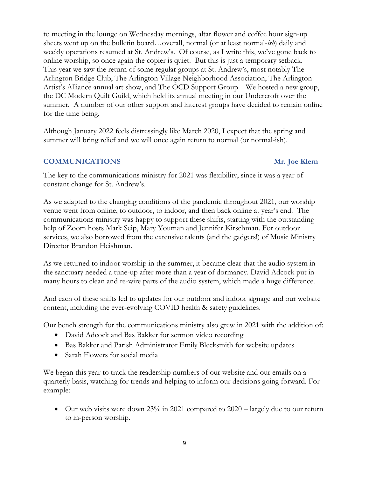to meeting in the lounge on Wednesday mornings, altar flower and coffee hour sign-up sheets went up on the bulletin board…overall, normal (or at least normal-*ish*) daily and weekly operations resumed at St. Andrew's. Of course, as I write this, we've gone back to online worship, so once again the copier is quiet. But this is just a temporary setback. This year we saw the return of some regular groups at St. Andrew's, most notably The Arlington Bridge Club, The Arlington Village Neighborhood Association, The Arlington Artist's Alliance annual art show, and The OCD Support Group. We hosted a new group, the DC Modern Quilt Guild, which held its annual meeting in our Undercroft over the summer. A number of our other support and interest groups have decided to remain online for the time being.

Although January 2022 feels distressingly like March 2020, I expect that the spring and summer will bring relief and we will once again return to normal (or normal-ish).

### **COMMUNICATIONS Mr. Joe Klem**

The key to the communications ministry for 2021 was flexibility, since it was a year of constant change for St. Andrew's.

As we adapted to the changing conditions of the pandemic throughout 2021, our worship venue went from online, to outdoor, to indoor, and then back online at year's end. The communications ministry was happy to support these shifts, starting with the outstanding help of Zoom hosts Mark Seip, Mary Youman and Jennifer Kirschman. For outdoor services, we also borrowed from the extensive talents (and the gadgets!) of Music Ministry Director Brandon Heishman.

As we returned to indoor worship in the summer, it became clear that the audio system in the sanctuary needed a tune-up after more than a year of dormancy. David Adcock put in many hours to clean and re-wire parts of the audio system, which made a huge difference.

And each of these shifts led to updates for our outdoor and indoor signage and our website content, including the ever-evolving COVID health & safety guidelines.

Our bench strength for the communications ministry also grew in 2021 with the addition of:

- David Adcock and Bas Bakker for sermon video recording
- Bas Bakker and Parish Administrator Emily Blecksmith for website updates
- Sarah Flowers for social media

We began this year to track the readership numbers of our website and our emails on a quarterly basis, watching for trends and helping to inform our decisions going forward. For example:

• Our web visits were down 23% in 2021 compared to  $2020 - \text{largely due to our return}$ to in-person worship.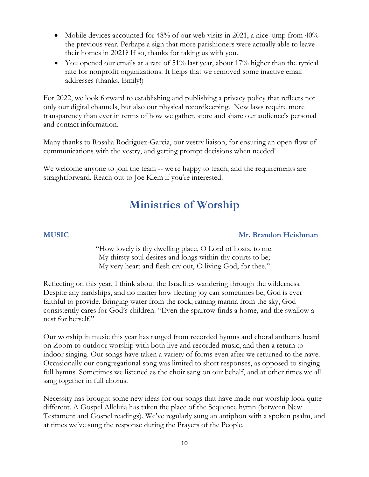- Mobile devices accounted for 48% of our web visits in 2021, a nice jump from  $40\%$ the previous year. Perhaps a sign that more parishioners were actually able to leave their homes in 2021? If so, thanks for taking us with you.
- You opened our emails at a rate of 51% last year, about 17% higher than the typical rate for nonprofit organizations. It helps that we removed some inactive email addresses (thanks, Emily!)

For 2022, we look forward to establishing and publishing a privacy policy that reflects not only our digital channels, but also our physical recordkeeping. New laws require more transparency than ever in terms of how we gather, store and share our audience's personal and contact information.

Many thanks to Rosalia Rodriguez-Garcia, our vestry liaison, for ensuring an open flow of communications with the vestry, and getting prompt decisions when needed!

We welcome anyone to join the team -- we're happy to teach, and the requirements are straightforward. Reach out to Joe Klem if you're interested.

# **Ministries of Worship**

### **MUSIC Mr. Brandon Heishman**

"How lovely is thy dwelling place, O Lord of hosts, to me! My thirsty soul desires and longs within thy courts to be; My very heart and flesh cry out, O living God, for thee."

Reflecting on this year, I think about the Israelites wandering through the wilderness. Despite any hardships, and no matter how fleeting joy can sometimes be, God is ever faithful to provide. Bringing water from the rock, raining manna from the sky, God consistently cares for God's children. "Even the sparrow finds a home, and the swallow a nest for herself."

Our worship in music this year has ranged from recorded hymns and choral anthems heard on Zoom to outdoor worship with both live and recorded music, and then a return to indoor singing. Our songs have taken a variety of forms even after we returned to the nave. Occasionally our congregational song was limited to short responses, as opposed to singing full hymns. Sometimes we listened as the choir sang on our behalf, and at other times we all sang together in full chorus.

Necessity has brought some new ideas for our songs that have made our worship look quite different. A Gospel Alleluia has taken the place of the Sequence hymn (between New Testament and Gospel readings). We've regularly sung an antiphon with a spoken psalm, and at times we've sung the response during the Prayers of the People.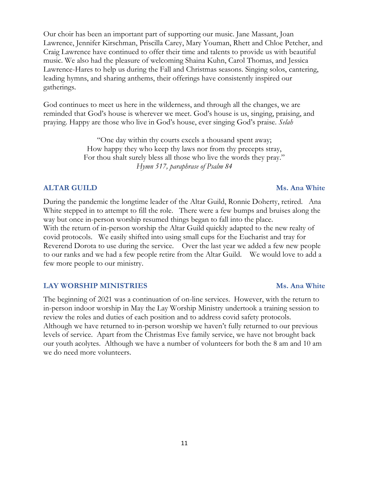Our choir has been an important part of supporting our music. Jane Massant, Joan Lawrence, Jennifer Kirschman, Priscilla Carey, Mary Youman, Rhett and Chloe Petcher, and Craig Lawrence have continued to offer their time and talents to provide us with beautiful music. We also had the pleasure of welcoming Shaina Kuhn, Carol Thomas, and Jessica Lawrence-Hares to help us during the Fall and Christmas seasons. Singing solos, cantering, leading hymns, and sharing anthems, their offerings have consistently inspired our gatherings.

God continues to meet us here in the wilderness, and through all the changes, we are reminded that God's house is wherever we meet. God's house is us, singing, praising, and praying. Happy are those who live in God's house, ever singing God's praise. *Selah*

> "One day within thy courts excels a thousand spent away; How happy they who keep thy laws nor from thy precepts stray, For thou shalt surely bless all those who live the words they pray." *Hymn 517, paraphrase of Psalm 84*

### **ALTAR GUILD** Ms. Ana White

During the pandemic the longtime leader of the Altar Guild, Ronnie Doherty, retired. Ana White stepped in to attempt to fill the role. There were a few bumps and bruises along the way but once in-person worship resumed things began to fall into the place. With the return of in-person worship the Altar Guild quickly adapted to the new realty of covid protocols. We easily shifted into using small cups for the Eucharist and tray for Reverend Dorota to use during the service. Over the last year we added a few new people to our ranks and we had a few people retire from the Altar Guild. We would love to add a few more people to our ministry.

#### **LAY WORSHIP MINISTRIES** MS. Ana White

The beginning of 2021 was a continuation of on-line services. However, with the return to in-person indoor worship in May the Lay Worship Ministry undertook a training session to review the roles and duties of each position and to address covid safety protocols. Although we have returned to in-person worship we haven't fully returned to our previous levels of service. Apart from the Christmas Eve family service, we have not brought back our youth acolytes. Although we have a number of volunteers for both the 8 am and 10 am we do need more volunteers.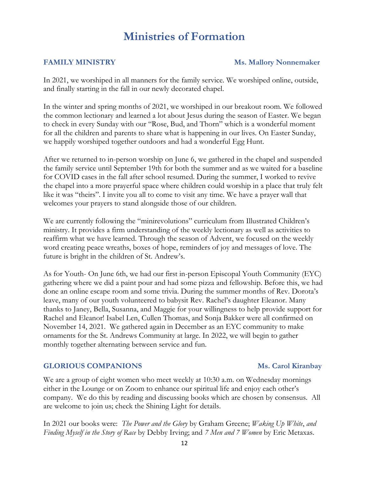# **Ministries of Formation**

#### **FAMILY MINISTRY** MS. Mallory Nonnemaker

In 2021, we worshiped in all manners for the family service. We worshiped online, outside, and finally starting in the fall in our newly decorated chapel.

In the winter and spring months of 2021, we worshiped in our breakout room. We followed the common lectionary and learned a lot about Jesus during the season of Easter. We began to check in every Sunday with our "Rose, Bud, and Thorn" which is a wonderful moment for all the children and parents to share what is happening in our lives. On Easter Sunday, we happily worshiped together outdoors and had a wonderful Egg Hunt.

After we returned to in-person worship on June 6, we gathered in the chapel and suspended the family service until September 19th for both the summer and as we waited for a baseline for COVID cases in the fall after school resumed. During the summer, I worked to revive the chapel into a more prayerful space where children could worship in a place that truly felt like it was "theirs". I invite you all to come to visit any time. We have a prayer wall that welcomes your prayers to stand alongside those of our children.

We are currently following the "minirevolutions" curriculum from Illustrated Children's ministry. It provides a firm understanding of the weekly lectionary as well as activities to reaffirm what we have learned. Through the season of Advent, we focused on the weekly word creating peace wreaths, boxes of hope, reminders of joy and messages of love. The future is bright in the children of St. Andrew's.

As for Youth- On June 6th, we had our first in-person Episcopal Youth Community (EYC) gathering where we did a paint pour and had some pizza and fellowship. Before this, we had done an online escape room and some trivia. During the summer months of Rev. Dorota's leave, many of our youth volunteered to babysit Rev. Rachel's daughter Eleanor. Many thanks to Janey, Bella, Susanna, and Maggie for your willingness to help provide support for Rachel and Eleanor! Isabel Len, Cullen Thomas, and Sonja Bakker were all confirmed on November 14, 2021. We gathered again in December as an EYC community to make ornaments for the St. Andrews Community at large. In 2022, we will begin to gather monthly together alternating between service and fun.

### **GLORIOUS COMPANIONS** Ms. Carol Kiranbay

We are a group of eight women who meet weekly at 10:30 a.m. on Wednesday mornings either in the Lounge or on Zoom to enhance our spiritual life and enjoy each other's company. We do this by reading and discussing books which are chosen by consensus. All are welcome to join us; check the Shining Light for details.

In 2021 our books were: *The Power and the Glory* by Graham Greene; *Waking Up White*, *and Finding Myself in the Story of Race* by Debby Irving; and *7 Men and 7 Women* by Eric Metaxas.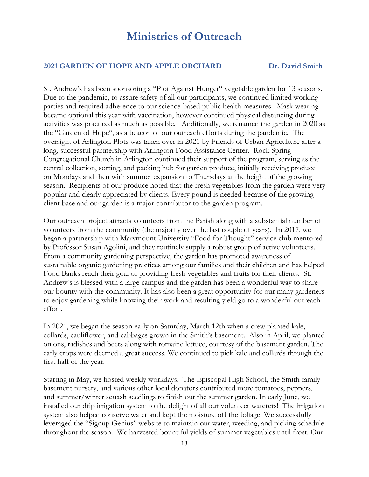# **Ministries of Outreach**

#### **2021 GARDEN OF HOPE AND APPLE ORCHARD Dr. David Smith**

St. Andrew's has been sponsoring a "Plot Against Hunger" vegetable garden for 13 seasons. Due to the pandemic, to assure safety of all our participants, we continued limited working parties and required adherence to our science-based public health measures. Mask wearing became optional this year with vaccination, however continued physical distancing during activities was practiced as much as possible. Additionally, we renamed the garden in 2020 as the "Garden of Hope", as a beacon of our outreach efforts during the pandemic. The oversight of Arlington Plots was taken over in 2021 by Friends of Urban Agriculture after a long, successful partnership with Arlington Food Assistance Center. Rock Spring Congregational Church in Arlington continued their support of the program, serving as the central collection, sorting, and packing hub for garden produce, initially receiving produce on Mondays and then with summer expansion to Thursdays at the height of the growing season. Recipients of our produce noted that the fresh vegetables from the garden were very popular and clearly appreciated by clients. Every pound is needed because of the growing client base and our garden is a major contributor to the garden program.

Our outreach project attracts volunteers from the Parish along with a substantial number of volunteers from the community (the majority over the last couple of years). In 2017, we began a partnership with Marymount University "Food for Thought" service club mentored by Professor Susan Agolini, and they routinely supply a robust group of active volunteers. From a community gardening perspective, the garden has promoted awareness of sustainable organic gardening practices among our families and their children and has helped Food Banks reach their goal of providing fresh vegetables and fruits for their clients. St. Andrew's is blessed with a large campus and the garden has been a wonderful way to share our bounty with the community. It has also been a great opportunity for our many gardeners to enjoy gardening while knowing their work and resulting yield go to a wonderful outreach effort.

In 2021, we began the season early on Saturday, March 12th when a crew planted kale, collards, cauliflower, and cabbages grown in the Smith's basement. Also in April, we planted onions, radishes and beets along with romaine lettuce, courtesy of the basement garden. The early crops were deemed a great success. We continued to pick kale and collards through the first half of the year.

Starting in May, we hosted weekly workdays. The Episcopal High School, the Smith family basement nursery, and various other local donators contributed more tomatoes, peppers, and summer/winter squash seedlings to finish out the summer garden. In early June, we installed our drip irrigation system to the delight of all our volunteer waterers! The irrigation system also helped conserve water and kept the moisture off the foliage. We successfully leveraged the "Signup Genius" website to maintain our water, weeding, and picking schedule throughout the season. We harvested bountiful yields of summer vegetables until frost. Our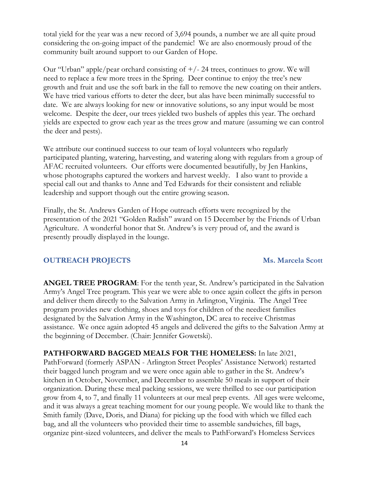total yield for the year was a new record of 3,694 pounds, a number we are all quite proud considering the on-going impact of the pandemic! We are also enormously proud of the community built around support to our Garden of Hope.

Our "Urban" apple/pear orchard consisting of +/- 24 trees, continues to grow. We will need to replace a few more trees in the Spring. Deer continue to enjoy the tree's new growth and fruit and use the soft bark in the fall to remove the new coating on their antlers. We have tried various efforts to deter the deer, but alas have been minimally successful to date. We are always looking for new or innovative solutions, so any input would be most welcome. Despite the deer, our trees yielded two bushels of apples this year. The orchard yields are expected to grow each year as the trees grow and mature (assuming we can control the deer and pests).

We attribute our continued success to our team of loyal volunteers who regularly participated planting, watering, harvesting, and watering along with regulars from a group of AFAC recruited volunteers. Our efforts were documented beautifully, by Jen Hankins, whose photographs captured the workers and harvest weekly. I also want to provide a special call out and thanks to Anne and Ted Edwards for their consistent and reliable leadership and support though out the entire growing season.

Finally, the St. Andrews Garden of Hope outreach efforts were recognized by the presentation of the 2021 "Golden Radish" award on 15 December by the Friends of Urban Agriculture. A wonderful honor that St. Andrew's is very proud of, and the award is presently proudly displayed in the lounge.

#### **OUTREACH PROJECTS** Ms. Marcela Scott

**ANGEL TREE PROGRAM**: For the tenth year, St. Andrew's participated in the Salvation Army's Angel Tree program. This year we were able to once again collect the gifts in person and deliver them directly to the Salvation Army in Arlington, Virginia. The Angel Tree program provides new clothing, shoes and toys for children of the neediest families designated by the Salvation Army in the Washington, DC area to receive Christmas assistance. We once again adopted 45 angels and delivered the gifts to the Salvation Army at the beginning of December. (Chair: Jennifer Gowetski).

**PATHFORWARD BAGGED MEALS FOR THE HOMELESS:** In late 2021, PathForward (formerly ASPAN - Arlington Street Peoples' Assistance Network) restarted their bagged lunch program and we were once again able to gather in the St. Andrew's kitchen in October, November, and December to assemble 50 meals in support of their organization. During these meal packing sessions, we were thrilled to see our participation grow from 4, to 7, and finally 11 volunteers at our meal prep events. All ages were welcome, and it was always a great teaching moment for our young people. We would like to thank the Smith family (Dave, Doris, and Diana) for picking up the food with which we filled each bag, and all the volunteers who provided their time to assemble sandwiches, fill bags, organize pint-sized volunteers, and deliver the meals to PathForward's Homeless Services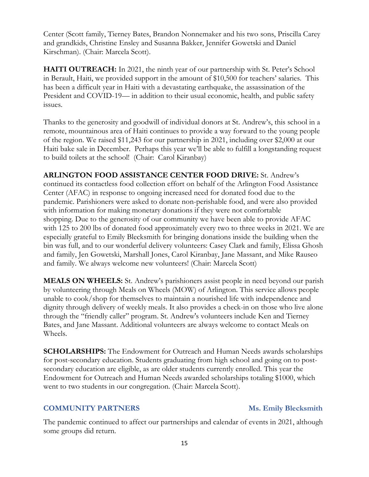Center (Scott family, Tierney Bates, Brandon Nonnemaker and his two sons, Priscilla Carey and grandkids, Christine Ensley and Susanna Bakker, Jennifer Gowetski and Daniel Kirschman). (Chair: Marcela Scott).

**HAITI OUTREACH:** In 2021, the ninth year of our partnership with St. Peter's School in Berault, Haiti, we provided support in the amount of \$10,500 for teachers' salaries. This has been a difficult year in Haiti with a devastating earthquake, the assassination of the President and COVID-19— in addition to their usual economic, health, and public safety issues.

Thanks to the generosity and goodwill of individual donors at St. Andrew's, this school in a remote, mountainous area of Haiti continues to provide a way forward to the young people of the region. We raised \$11,243 for our partnership in 2021, including over \$2,000 at our Haiti bake sale in December. Perhaps this year we'll be able to fulfill a longstanding request to build toilets at the school! (Chair: Carol Kiranbay)

**ARLINGTON FOOD ASSISTANCE CENTER FOOD DRIVE:** St. Andrew's continued its contactless food collection effort on behalf of the Arlington Food Assistance Center (AFAC) in response to ongoing increased need for donated food due to the pandemic. Parishioners were asked to donate non-perishable food, and were also provided with information for making monetary donations if they were not comfortable shopping. Due to the generosity of our community we have been able to provide AFAC with 125 to 200 lbs of donated food approximately every two to three weeks in 2021. We are especially grateful to Emily Blecksmith for bringing donations inside the building when the bin was full, and to our wonderful delivery volunteers: Casey Clark and family, Elissa Ghosh and family, Jen Gowetski, Marshall Jones, Carol Kiranbay, Jane Massant, and Mike Rauseo and family. We always welcome new volunteers! (Chair: Marcela Scott)

**MEALS ON WHEELS:** St. Andrew's parishioners assist people in need beyond our parish by volunteering through Meals on Wheels (MOW) of Arlington. This service allows people unable to cook/shop for themselves to maintain a nourished life with independence and dignity through delivery of weekly meals. It also provides a check-in on those who live alone through the "friendly caller" program. St. Andrew's volunteers include Ken and Tierney Bates, and Jane Massant. Additional volunteers are always welcome to contact Meals on Wheels.

**SCHOLARSHIPS:** The Endowment for Outreach and Human Needs awards scholarships for post-secondary education. Students graduating from high school and going on to postsecondary education are eligible, as are older students currently enrolled. This year the Endowment for Outreach and Human Needs awarded scholarships totaling \$1000, which went to two students in our congregation. (Chair: Marcela Scott).

#### **COMMUNITY PARTNERS** Ms. Emily Blecksmith

The pandemic continued to affect our partnerships and calendar of events in 2021, although some groups did return.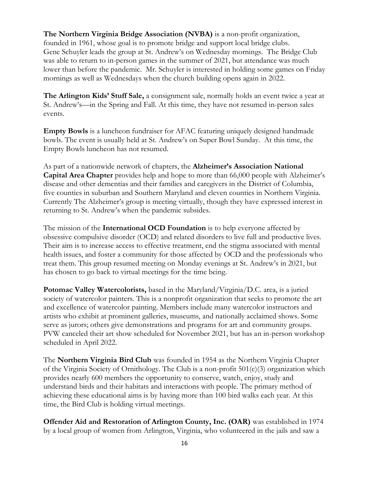**The Northern Virginia Bridge Association (NVBA)** is a non-profit organization, founded in 1961, whose goal is to promote bridge and support local bridge clubs. Gene Schuyler leads the group at St. Andrew's on Wednesday mornings. The Bridge Club was able to return to in-person games in the summer of 2021, but attendance was much lower than before the pandemic. Mr. Schuyler is interested in holding some games on Friday mornings as well as Wednesdays when the church building opens again in 2022.

**The Arlington Kids' Stuff Sale,** a consignment sale, normally holds an event twice a year at St. Andrew's—in the Spring and Fall. At this time, they have not resumed in-person sales events.

**Empty Bowls** is a luncheon fundraiser for AFAC featuring uniquely designed handmade bowls. The event is usually held at St. Andrew's on Super Bowl Sunday. At this time, the Empty Bowls luncheon has not resumed.

As part of a nationwide network of chapters, the **Alzheimer's Association National Capital Area Chapter** provides help and hope to more than 66,000 people with Alzheimer's disease and other dementias and their families and caregivers in the District of Columbia, five counties in suburban and Southern Maryland and eleven counties in Northern Virginia. Currently The Alzheimer's group is meeting virtually, though they have expressed interest in returning to St. Andrew's when the pandemic subsides.

The mission of the **International OCD Foundation** is to help everyone affected by obsessive compulsive disorder (OCD) and related disorders to live full and productive lives. Their aim is to increase access to effective treatment, end the stigma associated with mental health issues, and foster a community for those affected by OCD and the professionals who treat them. This group resumed meeting on Monday evenings at St. Andrew's in 2021, but has chosen to go back to virtual meetings for the time being.

**Potomac Valley Watercolorists,** based in the Maryland/Virginia/D.C. area, is a juried society of watercolor painters. This is a nonprofit organization that seeks to promote the art and excellence of watercolor painting. Members include many watercolor instructors and artists who exhibit at prominent galleries, museums, and nationally acclaimed shows. Some serve as jurors; others give demonstrations and programs for art and community groups. PVW canceled their art show scheduled for November 2021, but has an in-person workshop scheduled in April 2022.

The **Northern Virginia Bird Club** was founded in 1954 as the Northern Virginia Chapter of the Virginia Society of Ornithology. The Club is a non-profit 501(c)(3) organization which provides nearly 600 members the opportunity to conserve, watch, enjoy, study and understand birds and their habitats and interactions with people. The primary method of achieving these educational aims is by having more than 100 bird walks each year. At this time, the Bird Club is holding virtual meetings.

**Offender Aid and Restoration of Arlington County, Inc. (OAR)** was established in 1974 by a local group of women from Arlington, Virginia, who volunteered in the jails and saw a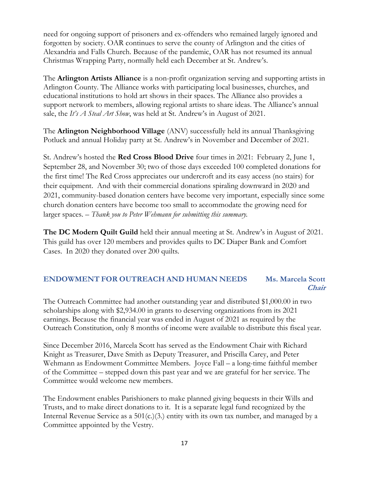need for ongoing support of prisoners and ex-offenders who remained largely ignored and forgotten by society. OAR continues to serve the county of Arlington and the cities of Alexandria and Falls Church. Because of the pandemic, OAR has not resumed its annual Christmas Wrapping Party, normally held each December at St. Andrew's.

The **Arlington Artists Alliance** is a non-profit organization serving and supporting artists in Arlington County. The Alliance works with participating local businesses, churches, and educational institutions to hold art shows in their spaces. The Alliance also provides a support network to members, allowing regional artists to share ideas. The Alliance's annual sale, the *It's A Steal Art Show*, was held at St. Andrew's in August of 2021.

The **Arlington Neighborhood Village** (ANV) successfully held its annual Thanksgiving Potluck and annual Holiday party at St. Andrew's in November and December of 2021.

St. Andrew's hosted the **Red Cross Blood Drive** four times in 2021: February 2, June 1, September 28, and November 30; two of those days exceeded 100 completed donations for the first time! The Red Cross appreciates our undercroft and its easy access (no stairs) for their equipment. And with their commercial donations spiraling downward in 2020 and 2021, community-based donation centers have become very important, especially since some church donation centers have become too small to accommodate the growing need for larger spaces. – *Thank you to Peter Wehmann for submitting this summary.*

**The DC Modern Quilt Guild** held their annual meeting at St. Andrew's in August of 2021. This guild has over 120 members and provides quilts to DC Diaper Bank and Comfort Cases. In 2020 they donated over 200 quilts.

### **ENDOWMENT FOR OUTREACH AND HUMAN NEEDS Ms. Marcela Scott Chair**

The Outreach Committee had another outstanding year and distributed \$1,000.00 in two scholarships along with \$2,934.00 in grants to deserving organizations from its 2021 earnings. Because the financial year was ended in August of 2021 as required by the Outreach Constitution, only 8 months of income were available to distribute this fiscal year.

Since December 2016, Marcela Scott has served as the Endowment Chair with Richard Knight as Treasurer, Dave Smith as Deputy Treasurer, and Priscilla Carey, and Peter Wehmann as Endowment Committee Members. Joyce Fall – a long-time faithful member of the Committee – stepped down this past year and we are grateful for her service. The Committee would welcome new members.

The Endowment enables Parishioners to make planned giving bequests in their Wills and Trusts, and to make direct donations to it. It is a separate legal fund recognized by the Internal Revenue Service as a  $501(c)(3)$  entity with its own tax number, and managed by a Committee appointed by the Vestry.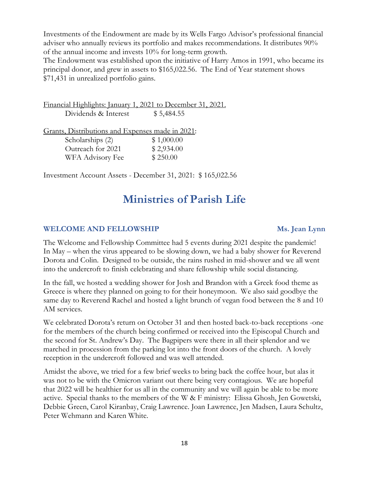Investments of the Endowment are made by its Wells Fargo Advisor's professional financial adviser who annually reviews its portfolio and makes recommendations. It distributes 90% of the annual income and invests 10% for long-term growth.

The Endowment was established upon the initiative of Harry Amos in 1991, who became its principal donor, and grew in assets to \$165,022.56. The End of Year statement shows \$71,431 in unrealized portfolio gains.

Financial Highlights: January 1, 2021 to December 31, 2021. Dividends & Interest \$5,484.55

Grants, Distributions and Expenses made in 2021:

| Scholarships (2)  | \$1,000.00 |
|-------------------|------------|
| Outreach for 2021 | \$2,934.00 |
| WFA Advisory Fee  | \$250.00   |

Investment Account Assets - December 31, 2021: \$ 165,022.56

# **Ministries of Parish Life**

### **WELCOME AND FELLOWSHIP Ms. Jean Lynn**

The Welcome and Fellowship Committee had 5 events during 2021 despite the pandemic! In May – when the virus appeared to be slowing down, we had a baby shower for Reverend Dorota and Colin. Designed to be outside, the rains rushed in mid-shower and we all went into the undercroft to finish celebrating and share fellowship while social distancing.

In the fall, we hosted a wedding shower for Josh and Brandon with a Greek food theme as Greece is where they planned on going to for their honeymoon. We also said goodbye the same day to Reverend Rachel and hosted a light brunch of vegan food between the 8 and 10 AM services.

We celebrated Dorota's return on October 31 and then hosted back-to-back receptions -one for the members of the church being confirmed or received into the Episcopal Church and the second for St. Andrew's Day. The Bagpipers were there in all their splendor and we marched in procession from the parking lot into the front doors of the church. A lovely reception in the undercroft followed and was well attended.

Amidst the above, we tried for a few brief weeks to bring back the coffee hour, but alas it was not to be with the Omicron variant out there being very contagious. We are hopeful that 2022 will be healthier for us all in the community and we will again be able to be more active. Special thanks to the members of the W & F ministry: Elissa Ghosh, Jen Gowetski, Debbie Green, Carol Kiranbay, Craig Lawrence. Joan Lawrence, Jen Madsen, Laura Schultz, Peter Wehmann and Karen White.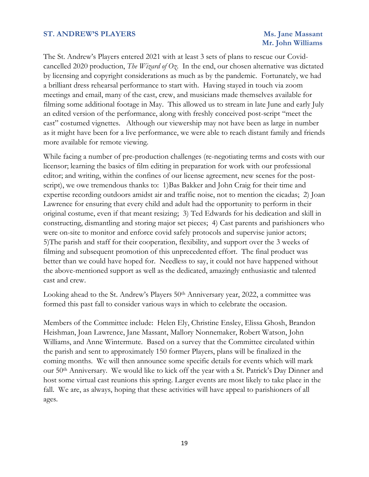#### **ST. ANDREW'S PLAYERS Ms. Jane Massant**

# **Mr. John Williams**

The St. Andrew's Players entered 2021 with at least 3 sets of plans to rescue our Covidcancelled 2020 production, *The Wizard of Oz*. In the end, our chosen alternative was dictated by licensing and copyright considerations as much as by the pandemic. Fortunately, we had a brilliant dress rehearsal performance to start with. Having stayed in touch via zoom meetings and email, many of the cast, crew, and musicians made themselves available for filming some additional footage in May. This allowed us to stream in late June and early July an edited version of the performance, along with freshly conceived post-script "meet the cast" costumed vignettes. Although our viewership may not have been as large in number as it might have been for a live performance, we were able to reach distant family and friends more available for remote viewing.

While facing a number of pre-production challenges (re-negotiating terms and costs with our licensor; learning the basics of film editing in preparation for work with our professional editor; and writing, within the confines of our license agreement, new scenes for the postscript), we owe tremendous thanks to: 1)Bas Bakker and John Craig for their time and expertise recording outdoors amidst air and traffic noise, not to mention the cicadas; 2) Joan Lawrence for ensuring that every child and adult had the opportunity to perform in their original costume, even if that meant resizing; 3) Ted Edwards for his dedication and skill in constructing, dismantling and storing major set pieces; 4) Cast parents and parishioners who were on-site to monitor and enforce covid safely protocols and supervise junior actors; 5)The parish and staff for their cooperation, flexibility, and support over the 3 weeks of filming and subsequent promotion of this unprecedented effort. The final product was better than we could have hoped for. Needless to say, it could not have happened without the above-mentioned support as well as the dedicated, amazingly enthusiastic and talented cast and crew.

Looking ahead to the St. Andrew's Players 50<sup>th</sup> Anniversary year, 2022, a committee was formed this past fall to consider various ways in which to celebrate the occasion.

Members of the Committee include: Helen Ely, Christine Ensley, Elissa Ghosh, Brandon Heishman, Joan Lawrence, Jane Massant, Mallory Nonnemaker, Robert Watson, John Williams, and Anne Wintermute. Based on a survey that the Committee circulated within the parish and sent to approximately 150 former Players, plans will be finalized in the coming months. We will then announce some specific details for events which will mark our 50th Anniversary. We would like to kick off the year with a St. Patrick's Day Dinner and host some virtual cast reunions this spring. Larger events are most likely to take place in the fall. We are, as always, hoping that these activities will have appeal to parishioners of all ages.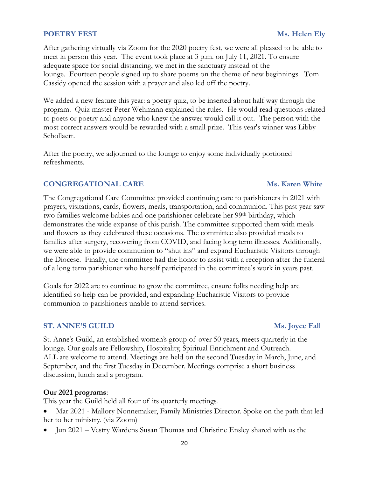### **POETRY FEST** Ms. Helen Ely

After gathering virtually via Zoom for the 2020 poetry fest, we were all pleased to be able to meet in person this year. The event took place at 3 p.m. on July 11, 2021. To ensure adequate space for social distancing, we met in the sanctuary instead of the lounge. Fourteen people signed up to share poems on the theme of new beginnings. Tom Cassidy opened the session with a prayer and also led off the poetry.

We added a new feature this year: a poetry quiz, to be inserted about half way through the program. Quiz master Peter Wehmann explained the rules. He would read questions related to poets or poetry and anyone who knew the answer would call it out. The person with the most correct answers would be rewarded with a small prize. This year's winner was Libby Schollaert.

After the poetry, we adjourned to the lounge to enjoy some individually portioned refreshments.

#### **CONGREGATIONAL CARE Ms. Karen White**

The Congregational Care Committee provided continuing care to parishioners in 2021 with prayers, visitations, cards, flowers, meals, transportation, and communion. This past year saw two families welcome babies and one parishioner celebrate her 99<sup>th</sup> birthday, which demonstrates the wide expanse of this parish. The committee supported them with meals and flowers as they celebrated these occasions. The committee also provided meals to families after surgery, recovering from COVID, and facing long term illnesses. Additionally, we were able to provide communion to "shut ins" and expand Eucharistic Visitors through the Diocese. Finally, the committee had the honor to assist with a reception after the funeral of a long term parishioner who herself participated in the committee's work in years past.

Goals for 2022 are to continue to grow the committee, ensure folks needing help are identified so help can be provided, and expanding Eucharistic Visitors to provide communion to parishioners unable to attend services.

#### **ST. ANNE'S GUILD Ms. Joyce Fall**

St. Anne's Guild, an established women's group of over 50 years, meets quarterly in the lounge. Our goals are Fellowship, Hospitality, Spiritual Enrichment and Outreach. ALL are welcome to attend. Meetings are held on the second Tuesday in March, June, and September, and the first Tuesday in December. Meetings comprise a short business discussion, lunch and a program.

#### **Our 2021 programs**:

This year the Guild held all four of its quarterly meetings.

- Mar 2021 Mallory Nonnemaker, Family Ministries Director. Spoke on the path that led her to her ministry. (via Zoom)
- Jun 2021 Vestry Wardens Susan Thomas and Christine Ensley shared with us the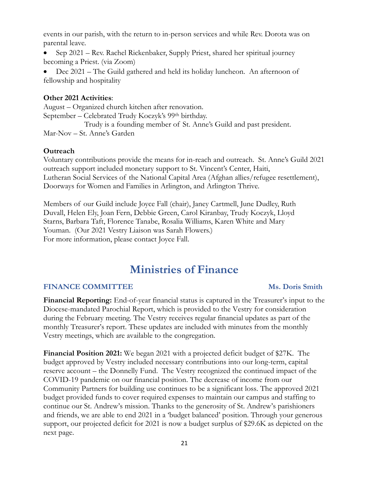events in our parish, with the return to in-person services and while Rev. Dorota was on parental leave.

• Sep 2021 – Rev. Rachel Rickenbaker, Supply Priest, shared her spiritual journey becoming a Priest. (via Zoom)

• Dec 2021 – The Guild gathered and held its holiday luncheon. An afternoon of fellowship and hospitality

### **Other 2021 Activities**:

August – Organized church kitchen after renovation. September – Celebrated Trudy Koczyk's 99th birthday.

 Trudy is a founding member of St. Anne's Guild and past president. Mar-Nov – St. Anne's Garden

#### **Outreach**

Voluntary contributions provide the means for in-reach and outreach. St. Anne's Guild 2021 outreach support included monetary support to St. Vincent's Center, Haiti, Lutheran Social Services of the National Capital Area (Afghan allies/refugee resettlement), Doorways for Women and Families in Arlington, and Arlington Thrive.

Members of our Guild include Joyce Fall (chair), Janey Cartmell, June Dudley, Ruth Duvall, Helen Ely, Joan Fern, Debbie Green, Carol Kiranbay, Trudy Koczyk, Lloyd Starns, Barbara Taft, Florence Tanabe, Rosalia Williams, Karen White and Mary Youman. (Our 2021 Vestry Liaison was Sarah Flowers.) For more information, please contact Joyce Fall.

# **Ministries of Finance**

#### **FINANCE COMMITTEE** MS. Doris Smith

**Financial Reporting:** End-of-year financial status is captured in the Treasurer's input to the Diocese-mandated Parochial Report, which is provided to the Vestry for consideration during the February meeting. The Vestry receives regular financial updates as part of the monthly Treasurer's report. These updates are included with minutes from the monthly Vestry meetings, which are available to the congregation.

**Financial Position 2021:** We began 2021 with a projected deficit budget of \$27K. The budget approved by Vestry included necessary contributions into our long-term, capital reserve account – the Donnelly Fund. The Vestry recognized the continued impact of the COVID-19 pandemic on our financial position. The decrease of income from our Community Partners for building use continues to be a significant loss. The approved 2021 budget provided funds to cover required expenses to maintain our campus and staffing to continue our St. Andrew's mission. Thanks to the generosity of St. Andrew's parishioners and friends, we are able to end 2021 in a 'budget balanced' position. Through your generous support, our projected deficit for 2021 is now a budget surplus of \$29.6K as depicted on the next page.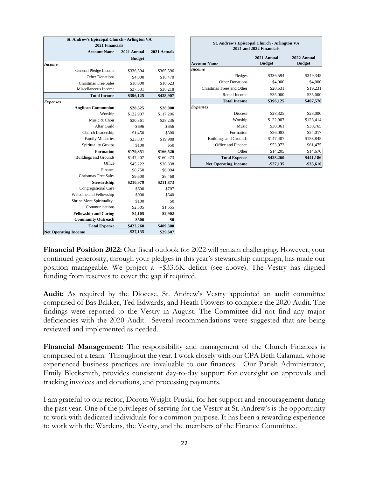| <b>St. Andrew's Episcopal Church - Arlington VA</b> |                              |               |              |  |  |
|-----------------------------------------------------|------------------------------|---------------|--------------|--|--|
|                                                     | 2021 Financials              |               |              |  |  |
|                                                     | <b>Account Name</b>          | 2021 Annual   | 2021 Actuals |  |  |
|                                                     |                              | <b>Budget</b> |              |  |  |
| Income                                              |                              |               |              |  |  |
|                                                     | General Pledge Income        | \$336,594     | \$365,596    |  |  |
|                                                     | <b>Other Donations</b>       | \$4,000       | \$16,470     |  |  |
|                                                     | <b>Christmas Tree Sales</b>  | \$18,000      | \$18,623     |  |  |
|                                                     | Miscellaneous Income         | \$37,531      | \$38,218     |  |  |
|                                                     | <b>Total Income</b>          | \$396,125     | \$438,907    |  |  |
| <b>Expenses</b>                                     |                              |               |              |  |  |
|                                                     | <b>Anglican Communion</b>    | \$28,325      | \$28,000     |  |  |
|                                                     | Worship                      | \$122,907     | \$117,296    |  |  |
|                                                     | Music & Choir                | \$30,361      | \$28,236     |  |  |
|                                                     | Altar Guild                  | \$696         | \$656        |  |  |
|                                                     | Church Leadership            | \$1,450       | \$300        |  |  |
|                                                     | <b>Family Ministries</b>     | \$23,837      | \$19,988     |  |  |
|                                                     | <b>Spirituality Groups</b>   | \$100         | \$50         |  |  |
|                                                     | <b>Formation</b>             | \$179,351     | \$166,526    |  |  |
|                                                     | <b>Buildings and Grounds</b> | \$147,407     | \$160,473    |  |  |
|                                                     | Office                       | \$45,222      | \$36,838     |  |  |
|                                                     | Finance                      | \$8,750       | \$6,094      |  |  |
|                                                     | <b>Christmas Tree Sales</b>  | \$9,600       | \$8,468      |  |  |
|                                                     | <b>Stewardship</b>           | \$210,979     | \$211,873    |  |  |
|                                                     | Congregational Care          | \$600         | \$707        |  |  |
|                                                     | Welcome and Fellowship       | \$900         | \$640        |  |  |
|                                                     | Shrine Mont Spirituality     | \$100         | \$0          |  |  |
|                                                     | Communications               | \$2,505       | \$1,555      |  |  |
|                                                     | <b>Fellowship and Caring</b> | \$4,105       | \$2,902      |  |  |
|                                                     | <b>Community Outreach</b>    | \$500         | \$0          |  |  |
|                                                     | <b>Total Expense</b>         | \$423,260     | \$409,300    |  |  |
|                                                     | <b>Net Operating Income</b>  | $-$27,135$    | \$29,607     |  |  |

| <b>St. Andrew's Episcopal Church - Arlington VA</b><br>2021 and 2022 Financials |                              |                              |  |  |
|---------------------------------------------------------------------------------|------------------------------|------------------------------|--|--|
| <b>Account Name</b>                                                             | 2021 Annual<br><b>Budget</b> | 2022 Annual<br><b>Budget</b> |  |  |
| <b>Income</b>                                                                   |                              |                              |  |  |
| Pledges                                                                         | \$336,594                    | \$349,345                    |  |  |
| <b>Other Donations</b>                                                          | \$4,000                      | \$4,000                      |  |  |
| Christmas Trees and Other                                                       | \$20,531                     | \$19,231                     |  |  |
| <b>Rental Income</b>                                                            | \$35,000                     | \$35,000                     |  |  |
| <b>Total Income</b>                                                             | \$396,125                    | \$407,576                    |  |  |
| <b>Expenses</b>                                                                 |                              |                              |  |  |
| Diocese                                                                         | \$28,325                     | \$28,000                     |  |  |
| Worship                                                                         | \$122,907                    | \$123,414                    |  |  |
| Music                                                                           | \$30,361                     | \$30,765                     |  |  |
| Formation                                                                       | \$26,083                     | \$24,017                     |  |  |
| <b>Buildings and Grounds</b>                                                    | \$147,407                    | \$158,845                    |  |  |
| Office and Finance                                                              | \$53,972                     | \$61,475                     |  |  |
| Other                                                                           | \$14,205                     | \$14,670                     |  |  |
| <b>Total Expense</b>                                                            | \$423,260                    | \$441,186                    |  |  |
| <b>Net Operating Income</b>                                                     | $-$27,135$                   | $-$ \$33,610                 |  |  |

**Financial Position 2022:** Our fiscal outlook for 2022 will remain challenging. However, your continued generosity, through your pledges in this year's stewardship campaign, has made our position manageable. We project a ~\$33.6K deficit (see above). The Vestry has aligned funding from reserves to cover the gap if required.

**Audit:** As required by the Diocese, St. Andrew's Vestry appointed an audit committee comprised of Bas Bakker, Ted Edwards, and Heath Flowers to complete the 2020 Audit. The findings were reported to the Vestry in August. The Committee did not find any major deficiencies with the 2020 Audit. Several recommendations were suggested that are being reviewed and implemented as needed.

**Financial Management:** The responsibility and management of the Church Finances is comprised of a team. Throughout the year, I work closely with our CPA Beth Calaman, whose experienced business practices are invaluable to our finances. Our Parish Administrator, Emily Blecksmith, provides consistent day-to-day support for oversight on approvals and tracking invoices and donations, and processing payments.

I am grateful to our rector, Dorota Wright-Pruski, for her support and encouragement during the past year. One of the privileges of serving for the Vestry at St. Andrew's is the opportunity to work with dedicated individuals for a common purpose. It has been a rewarding experience to work with the Wardens, the Vestry, and the members of the Finance Committee.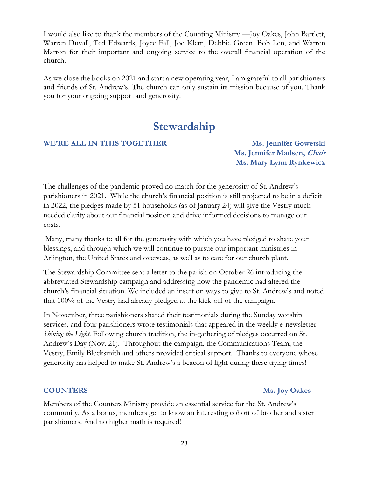I would also like to thank the members of the Counting Ministry —Joy Oakes, John Bartlett, Warren Duvall, Ted Edwards, Joyce Fall, Joe Klem, Debbie Green, Bob Len, and Warren Marton for their important and ongoing service to the overall financial operation of the church.

As we close the books on 2021 and start a new operating year, I am grateful to all parishioners and friends of St. Andrew's. The church can only sustain its mission because of you. Thank you for your ongoing support and generosity!

# **Stewardship**

#### **WE'RE ALL IN THIS TOGETHER Ms. Jennifer Gowetski**

**Ms. Jennifer Madsen, Chair Ms. Mary Lynn Rynkewicz**

The challenges of the pandemic proved no match for the generosity of St. Andrew's parishioners in 2021. While the church's financial position is still projected to be in a deficit in 2022, the pledges made by 51 households (as of January 24) will give the Vestry muchneeded clarity about our financial position and drive informed decisions to manage our costs.

Many, many thanks to all for the generosity with which you have pledged to share your blessings, and through which we will continue to pursue our important ministries in Arlington, the United States and overseas, as well as to care for our church plant.

The Stewardship Committee sent a letter to the parish on October 26 introducing the abbreviated Stewardship campaign and addressing how the pandemic had altered the church's financial situation. We included an insert on ways to give to St. Andrew's and noted that 100% of the Vestry had already pledged at the kick-off of the campaign.

In November, three parishioners shared their testimonials during the Sunday worship services, and four parishioners wrote testimonials that appeared in the weekly e-newsletter *Shining the Light*. Following church tradition, the in-gathering of pledges occurred on St. Andrew's Day (Nov. 21). Throughout the campaign, the Communications Team, the Vestry, Emily Blecksmith and others provided critical support. Thanks to everyone whose generosity has helped to make St. Andrew's a beacon of light during these trying times!

#### **COUNTERS Ms. Joy Oakes**

Members of the Counters Ministry provide an essential service for the St. Andrew's community. As a bonus, members get to know an interesting cohort of brother and sister parishioners. And no higher math is required!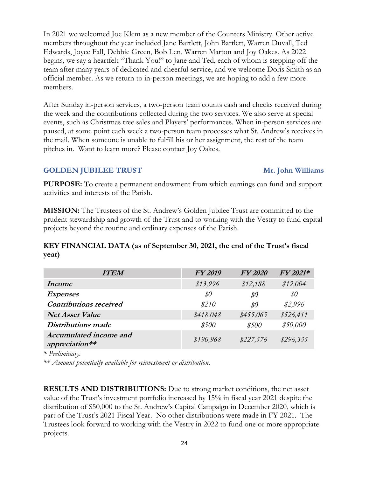In 2021 we welcomed Joe Klem as a new member of the Counters Ministry. Other active members throughout the year included Jane Bartlett, John Bartlett, Warren Duvall, Ted Edwards, Joyce Fall, Debbie Green, Bob Len, Warren Marton and Joy Oakes. As 2022 begins, we say a heartfelt "Thank You!" to Jane and Ted, each of whom is stepping off the team after many years of dedicated and cheerful service, and we welcome Doris Smith as an official member. As we return to in-person meetings, we are hoping to add a few more members.

After Sunday in-person services, a two-person team counts cash and checks received during the week and the contributions collected during the two services. We also serve at special events, such as Christmas tree sales and Players' performances. When in-person services are paused, at some point each week a two-person team processes what St. Andrew's receives in the mail. When someone is unable to fulfill his or her assignment, the rest of the team pitches in. Want to learn more? Please contact Joy Oakes.

### **GOLDEN JUBILEE TRUST** Mr. John Williams

**PURPOSE:** To create a permanent endowment from which earnings can fund and support activities and interests of the Parish.

**MISSION:** The Trustees of the St. Andrew's Golden Jubilee Trust are committed to the prudent stewardship and growth of the Trust and to working with the Vestry to fund capital projects beyond the routine and ordinary expenses of the Parish.

### **KEY FINANCIAL DATA (as of September 30, 2021, the end of the Trust's fiscal year)**

| <b>ITEM</b>                              | <b>FY 2019</b> | <b>FY2020</b> | FY 2021*  |
|------------------------------------------|----------------|---------------|-----------|
| Income                                   | \$13,996       | \$12,188      | \$12,004  |
| <b>Expenses</b>                          | $\$0$          | \$0           | \$0       |
| <b>Contributions received</b>            | \$210          | \$0           | \$2,996   |
| <b>Net Asset Value</b>                   | \$418,048      | \$455,065     | \$526,411 |
| <b>Distributions</b> made                | \$500          | \$500         | \$50,000  |
| Accumulated income and<br>appreciation** | \$190,968      | \$227,576     | \$296,335 |

*\* Preliminary.*

*\*\* Amount potentially available for reinvestment or distribution.*

**RESULTS AND DISTRIBUTIONS:** Due to strong market conditions, the net asset value of the Trust's investment portfolio increased by 15% in fiscal year 2021 despite the distribution of \$50,000 to the St. Andrew's Capital Campaign in December 2020, which is part of the Trust's 2021 Fiscal Year. No other distributions were made in FY 2021. The Trustees look forward to working with the Vestry in 2022 to fund one or more appropriate projects.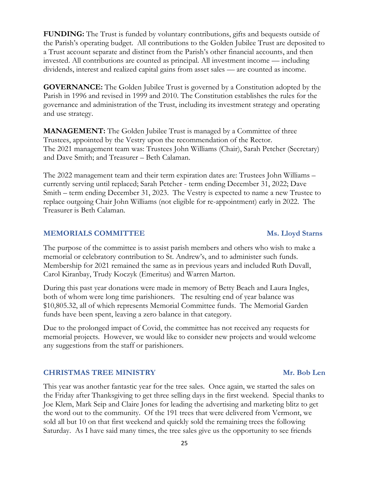**FUNDING:** The Trust is funded by voluntary contributions, gifts and bequests outside of the Parish's operating budget. All contributions to the Golden Jubilee Trust are deposited to a Trust account separate and distinct from the Parish's other financial accounts, and then invested. All contributions are counted as principal. All investment income — including dividends, interest and realized capital gains from asset sales — are counted as income.

**GOVERNANCE:** The Golden Jubilee Trust is governed by a Constitution adopted by the Parish in 1996 and revised in 1999 and 2010. The Constitution establishes the rules for the governance and administration of the Trust, including its investment strategy and operating and use strategy.

**MANAGEMENT:** The Golden Jubilee Trust is managed by a Committee of three Trustees, appointed by the Vestry upon the recommendation of the Rector. The 2021 management team was: Trustees John Williams (Chair), Sarah Petcher (Secretary) and Dave Smith; and Treasurer – Beth Calaman.

The 2022 management team and their term expiration dates are: Trustees John Williams – currently serving until replaced; Sarah Petcher - term ending December 31, 2022; Dave Smith – term ending December 31, 2023. The Vestry is expected to name a new Trustee to replace outgoing Chair John Williams (not eligible for re-appointment) early in 2022. The Treasurer is Beth Calaman.

### **MEMORIALS COMMITTEE MS. Lloyd Starns**

The purpose of the committee is to assist parish members and others who wish to make a memorial or celebratory contribution to St. Andrew's, and to administer such funds. Membership for 2021 remained the same as in previous years and included Ruth Duvall, Carol Kiranbay, Trudy Koczyk (Emeritus) and Warren Marton.

During this past year donations were made in memory of Betty Beach and Laura Ingles, both of whom were long time parishioners. The resulting end of year balance was \$10,805.32, all of which represents Memorial Committee funds. The Memorial Garden funds have been spent, leaving a zero balance in that category.

Due to the prolonged impact of Covid, the committee has not received any requests for memorial projects. However, we would like to consider new projects and would welcome any suggestions from the staff or parishioners.

### **CHRISTMAS TREE MINISTRY** Mr. Bob Len

This year was another fantastic year for the tree sales. Once again, we started the sales on the Friday after Thanksgiving to get three selling days in the first weekend. Special thanks to Joe Klem, Mark Seip and Claire Jones for leading the advertising and marketing blitz to get the word out to the community. Of the 191 trees that were delivered from Vermont, we sold all but 10 on that first weekend and quickly sold the remaining trees the following Saturday. As I have said many times, the tree sales give us the opportunity to see friends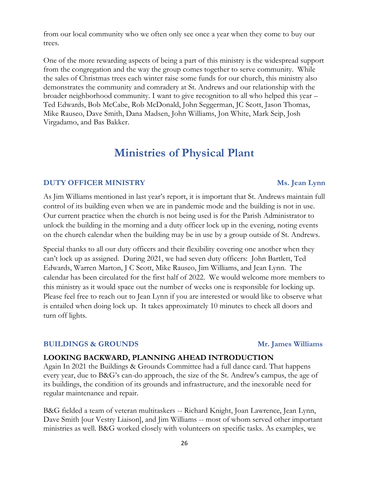from our local community who we often only see once a year when they come to buy our trees.

One of the more rewarding aspects of being a part of this ministry is the widespread support from the congregation and the way the group comes together to serve community. While the sales of Christmas trees each winter raise some funds for our church, this ministry also demonstrates the community and comradery at St. Andrews and our relationship with the broader neighborhood community. I want to give recognition to all who helped this year – Ted Edwards, Bob McCabe, Rob McDonald, John Seggerman, JC Scott, Jason Thomas, Mike Rauseo, Dave Smith, Dana Madsen, John Williams, Jon White, Mark Seip, Josh Virgadamo, and Bas Bakker.

## **Ministries of Physical Plant**

#### **DUTY OFFICER MINISTRY Ms. Jean Lynn**

### As Jim Williams mentioned in last year's report, it is important that St. Andrews maintain full control of its building even when we are in pandemic mode and the building is not in use. Our current practice when the church is not being used is for the Parish Administrator to unlock the building in the morning and a duty officer lock up in the evening, noting events on the church calendar when the building may be in use by a group outside of St. Andrews.

Special thanks to all our duty officers and their flexibility covering one another when they can't lock up as assigned. During 2021, we had seven duty officers: John Bartlett, Ted Edwards, Warren Marton, J C Scott, Mike Rauseo, Jim Williams, and Jean Lynn. The calendar has been circulated for the first half of 2022. We would welcome more members to this ministry as it would space out the number of weeks one is responsible for locking up. Please feel free to reach out to Jean Lynn if you are interested or would like to observe what is entailed when doing lock up. It takes approximately 10 minutes to check all doors and turn off lights.

#### **BUILDINGS & GROUNDS Mr. James Williams**

### **LOOKING BACKWARD, PLANNING AHEAD INTRODUCTION**

Again In 2021 the Buildings & Grounds Committee had a full dance card. That happens every year, due to B&G's can-do approach, the size of the St. Andrew's campus, the age of its buildings, the condition of its grounds and infrastructure, and the inexorable need for regular maintenance and repair.

B&G fielded a team of veteran multitaskers -- Richard Knight, Joan Lawrence, Jean Lynn, Dave Smith [our Vestry Liaison], and Jim Williams -- most of whom served other important ministries as well. B&G worked closely with volunteers on specific tasks. As examples, we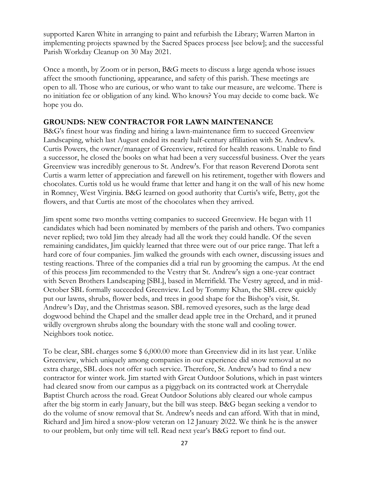supported Karen White in arranging to paint and refurbish the Library; Warren Marton in implementing projects spawned by the Sacred Spaces process [see below]; and the successful Parish Workday Cleanup on 30 May 2021.

Once a month, by Zoom or in person, B&G meets to discuss a large agenda whose issues affect the smooth functioning, appearance, and safety of this parish. These meetings are open to all. Those who are curious, or who want to take our measure, are welcome. There is no initiation fee or obligation of any kind. Who knows? You may decide to come back. We hope you do.

#### **GROUNDS: NEW CONTRACTOR FOR LAWN MAINTENANCE**

B&G's finest hour was finding and hiring a lawn-maintenance firm to succeed Greenview Landscaping, which last August ended its nearly half-century affiliation with St. Andrew's. Curtis Powers, the owner/manager of Greenview, retired for health reasons. Unable to find a successor, he closed the books on what had been a very successful business. Over the years Greenview was incredibly generous to St. Andrew's. For that reason Reverend Dorota sent Curtis a warm letter of appreciation and farewell on his retirement, together with flowers and chocolates. Curtis told us he would frame that letter and hang it on the wall of his new home in Romney, West Virginia. B&G learned on good authority that Curtis's wife, Betty, got the flowers, and that Curtis ate most of the chocolates when they arrived.

Jim spent some two months vetting companies to succeed Greenview. He began with 11 candidates which had been nominated by members of the parish and others. Two companies never replied; two told Jim they already had all the work they could handle. Of the seven remaining candidates, Jim quickly learned that three were out of our price range. That left a hard core of four companies. Jim walked the grounds with each owner, discussing issues and testing reactions. Three of the companies did a trial run by grooming the campus. At the end of this process Jim recommended to the Vestry that St. Andrew's sign a one-year contract with Seven Brothers Landscaping [SBL], based in Merrifield. The Vestry agreed, and in mid-October SBL formally succeeded Greenview. Led by Tommy Khan, the SBL crew quickly put our lawns, shrubs, flower beds, and trees in good shape for the Bishop's visit, St. Andrew's Day, and the Christmas season. SBL removed eyesores, such as the large dead dogwood behind the Chapel and the smaller dead apple tree in the Orchard, and it pruned wildly overgrown shrubs along the boundary with the stone wall and cooling tower. Neighbors took notice.

To be clear, SBL charges some \$ 6,000.00 more than Greenview did in its last year. Unlike Greenview, which uniquely among companies in our experience did snow removal at no extra charge, SBL does not offer such service. Therefore, St. Andrew's had to find a new contractor for winter work. Jim started with Great Outdoor Solutions, which in past winters had cleared snow from our campus as a piggyback on its contracted work at Cherrydale Baptist Church across the road. Great Outdoor Solutions ably cleared our whole campus after the big storm in early January, but the bill was steep. B&G began seeking a vendor to do the volume of snow removal that St. Andrew's needs and can afford. With that in mind, Richard and Jim hired a snow-plow veteran on 12 January 2022. We think he is the answer to our problem, but only time will tell. Read next year's B&G report to find out.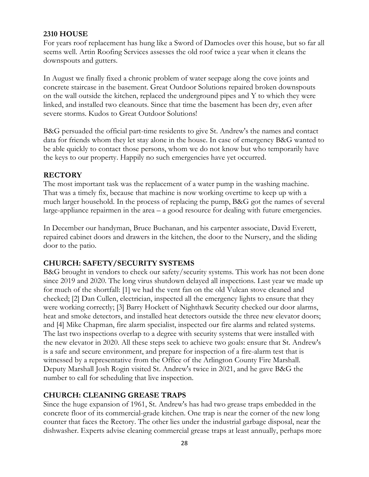### **2310 HOUSE**

For years roof replacement has hung like a Sword of Damocles over this house, but so far all seems well. Artin Roofing Services assesses the old roof twice a year when it cleans the downspouts and gutters.

In August we finally fixed a chronic problem of water seepage along the cove joints and concrete staircase in the basement. Great Outdoor Solutions repaired broken downspouts on the wall outside the kitchen, replaced the underground pipes and Y to which they were linked, and installed two cleanouts. Since that time the basement has been dry, even after severe storms. Kudos to Great Outdoor Solutions!

B&G persuaded the official part-time residents to give St. Andrew's the names and contact data for friends whom they let stay alone in the house. In case of emergency B&G wanted to be able quickly to contact those persons, whom we do not know but who temporarily have the keys to our property. Happily no such emergencies have yet occurred.

### **RECTORY**

The most important task was the replacement of a water pump in the washing machine. That was a timely fix, because that machine is now working overtime to keep up with a much larger household. In the process of replacing the pump, B&G got the names of several large-appliance repairmen in the area – a good resource for dealing with future emergencies.

In December our handyman, Bruce Buchanan, and his carpenter associate, David Everett, repaired cabinet doors and drawers in the kitchen, the door to the Nursery, and the sliding door to the patio.

#### **CHURCH: SAFETY/SECURITY SYSTEMS**

B&G brought in vendors to check our safety/security systems. This work has not been done since 2019 and 2020. The long virus shutdown delayed all inspections. Last year we made up for much of the shortfall: [1] we had the vent fan on the old Vulcan stove cleaned and checked; [2] Dan Cullen, electrician, inspected all the emergency lights to ensure that they were working correctly; [3] Barry Hockett of Nighthawk Security checked our door alarms, heat and smoke detectors, and installed heat detectors outside the three new elevator doors; and [4] Mike Chapman, fire alarm specialist, inspected our fire alarms and related systems. The last two inspections overlap to a degree with security systems that were installed with the new elevator in 2020. All these steps seek to achieve two goals: ensure that St. Andrew's is a safe and secure environment, and prepare for inspection of a fire-alarm test that is witnessed by a representative from the Office of the Arlington County Fire Marshall. Deputy Marshall Josh Rogin visited St. Andrew's twice in 2021, and he gave B&G the number to call for scheduling that live inspection.

### **CHURCH: CLEANING GREASE TRAPS**

Since the huge expansion of 1961, St. Andrew's has had two grease traps embedded in the concrete floor of its commercial-grade kitchen. One trap is near the corner of the new long counter that faces the Rectory. The other lies under the industrial garbage disposal, near the dishwasher. Experts advise cleaning commercial grease traps at least annually, perhaps more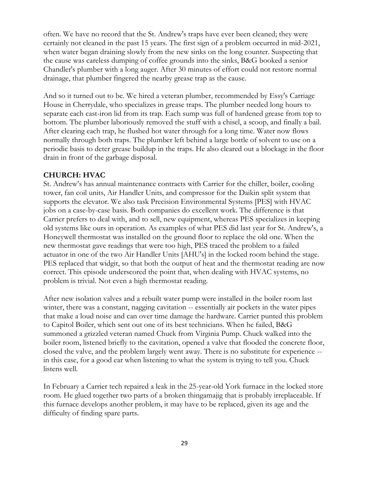often. We have no record that the St. Andrew's traps have ever been cleaned; they were certainly not cleaned in the past 15 years. The first sign of a problem occurred in mid-2021, when water began draining slowly from the new sinks on the long counter. Suspecting that the cause was careless dumping of coffee grounds into the sinks, B&G booked a senior Chandler's plumber with a long auger. After 30 minutes of effort could not restore normal drainage, that plumber fingered the nearby grease trap as the cause.

And so it turned out to be. We hired a veteran plumber, recommended by Essy's Carriage House in Cherrydale, who specializes in grease traps. The plumber needed long hours to separate each cast-iron lid from its trap. Each sump was full of hardened grease from top to bottom. The plumber laboriously removed the stuff with a chisel, a scoop, and finally a bail. After clearing each trap, he flushed hot water through for a long time. Water now flows normally through both traps. The plumber left behind a large bottle of solvent to use on a periodic basis to deter grease buildup in the traps. He also cleared out a blockage in the floor drain in front of the garbage disposal.

### **CHURCH: HVAC**

St. Andrew's has annual maintenance contracts with Carrier for the chiller, boiler, cooling tower, fan coil units, Air Handler Units, and compressor for the Daikin split system that supports the elevator. We also task Precision Environmental Systems [PES] with HVAC jobs on a case-by-case basis. Both companies do excellent work. The difference is that Carrier prefers to deal with, and to sell, new equipment, whereas PES specializes in keeping old systems like ours in operation. As examples of what PES did last year for St. Andrew's, a Honeywell thermostat was installed on the ground floor to replace the old one. When the new thermostat gave readings that were too high, PES traced the problem to a failed actuator in one of the two Air Handler Units [AHU's] in the locked room behind the stage. PES replaced that widgit, so that both the output of heat and the thermostat reading are now correct. This episode underscored the point that, when dealing with HVAC systems, no problem is trivial. Not even a high thermostat reading.

After new isolation valves and a rebuilt water pump were installed in the boiler room last winter, there was a constant, nagging cavitation -- essentially air pockets in the water pipes that make a loud noise and can over time damage the hardware. Carrier punted this problem to Capitol Boiler, which sent out one of its best technicians. When he failed, B&G summoned a grizzled veteran named Chuck from Virginia Pump. Chuck walked into the boiler room, listened briefly to the cavitation, opened a valve that flooded the concrete floor, closed the valve, and the problem largely went away. There is no substitute for experience - in this case, for a good ear when listening to what the system is trying to tell you. Chuck listens well.

In February a Carrier tech repaired a leak in the 25-year-old York furnace in the locked store room. He glued together two parts of a broken thingamajig that is probably irreplaceable. If this furnace develops another problem, it may have to be replaced, given its age and the difficulty of finding spare parts.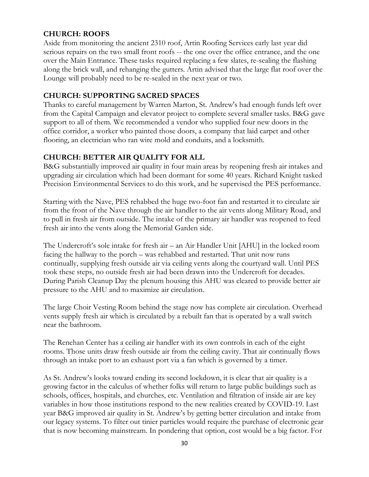### **CHURCH: ROOFS**

Aside from monitoring the ancient 2310 roof, Artin Roofing Services early last year did serious repairs on the two small front roofs -- the one over the office entrance, and the one over the Main Entrance. These tasks required replacing a few slates, re-sealing the flashing along the brick wall, and rehanging the gutters. Artin advised that the large flat roof over the Lounge will probably need to be re-sealed in the next year or two.

### **CHURCH: SUPPORTING SACRED SPACES**

Thanks to careful management by Warren Marton, St. Andrew's had enough funds left over from the Capital Campaign and elevator project to complete several smaller tasks. B&G gave support to all of them. We recommended a vendor who supplied four new doors in the office corridor, a worker who painted those doors, a company that laid carpet and other flooring, an electrician who ran wire mold and conduits, and a locksmith.

### **CHURCH: BETTER AIR QUALITY FOR ALL**

B&G substantially improved air quality in four main areas by reopening fresh air intakes and upgrading air circulation which had been dormant for some 40 years. Richard Knight tasked Precision Environmental Services to do this work, and he supervised the PES performance.

Starting with the Nave, PES rehabbed the huge two-foot fan and restarted it to circulate air from the front of the Nave through the air handler to the air vents along Military Road, and to pull in fresh air from outside. The intake of the primary air handler was reopened to feed fresh air into the vents along the Memorial Garden side.

The Undercroft's sole intake for fresh air – an Air Handler Unit [AHU] in the locked room facing the hallway to the porch – was rehabbed and restarted. That unit now runs continually, supplying fresh outside air via ceiling vents along the courtyard wall. Until PES took these steps, no outside fresh air had been drawn into the Undercroft for decades. During Parish Cleanup Day the plenum housing this AHU was cleared to provide better air pressure to the AHU and to maximize air circulation.

The large Choir Vesting Room behind the stage now has complete air circulation. Overhead vents supply fresh air which is circulated by a rebuilt fan that is operated by a wall switch near the bathroom.

The Renehan Center has a ceiling air handler with its own controls in each of the eight rooms. Those units draw fresh outside air from the ceiling cavity. That air continually flows through an intake port to an exhaust port via a fan which is governed by a timer.

As St. Andrew's looks toward ending its second lockdown, it is clear that air quality is a growing factor in the calculus of whether folks will return to large public buildings such as schools, offices, hospitals, and churches, etc. Ventilation and filtration of inside air are key variables in how those institutions respond to the new realities created by COVID-19. Last year B&G improved air quality in St. Andrew's by getting better circulation and intake from our legacy systems. To filter out tinier particles would require the purchase of electronic gear that is now becoming mainstream. In pondering that option, cost would be a big factor. For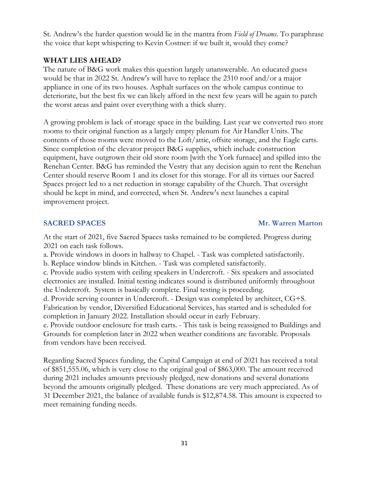St. Andrew's the harder question would lie in the mantra from *Field of Dreams*. To paraphrase the voice that kept whispering to Kevin Costner: if we built it, would they come?

### **WHAT LIES AHEAD?**

The nature of B&G work makes this question largely unanswerable. An educated guess would be that in 2022 St. Andrew's will have to replace the 2310 roof and/or a major appliance in one of its two houses. Asphalt surfaces on the whole campus continue to deteriorate, but the best fix we can likely afford in the next few years will be again to patch the worst areas and paint over everything with a thick slurry.

A growing problem is lack of storage space in the building. Last year we converted two store rooms to their original function as a largely empty plenum for Air Handler Units. The contents of those rooms were moved to the Loft/attic, offsite storage, and the Eagle carts. Since completion of the elevator project B&G supplies, which include construction equipment, have outgrown their old store room [with the York furnace] and spilled into the Renehan Center. B&G has reminded the Vestry that any decision again to rent the Renehan Center should reserve Room 1 and its closet for this storage. For all its virtues our Sacred Spaces project led to a net reduction in storage capability of the Church. That oversight should be kept in mind, and corrected, when St. Andrew's next launches a capital improvement project.

### **SACRED SPACES** Mr. Warren Marton

At the start of 2021, five Sacred Spaces tasks remained to be completed. Progress during 2021 on each task follows.

a. Provide windows in doors in hallway to Chapel. - Task was completed satisfactorily. b. Replace window blinds in Kitchen. - Task was completed satisfactorily.

c. Provide audio system with ceiling speakers in Undercroft. - Six speakers and associated electronics are installed. Initial testing indicates sound is distributed uniformly throughout the Undercroft. System is basically complete. Final testing is proceeding.

d. Provide serving counter in Undercroft. - Design was completed by architect, CG+S. Fabrication by vendor, Diversified Educational Services, has started and is scheduled for completion in January 2022. Installation should occur in early February.

e. Provide outdoor enclosure for trash carts. - This task is being reassigned to Buildings and Grounds for completion later in 2022 when weather conditions are favorable. Proposals from vendors have been received.

Regarding Sacred Spaces funding, the Capital Campaign at end of 2021 has received a total of \$851,555.06, which is very close to the original goal of \$863,000. The amount received during 2021 includes amounts previously pledged, new donations and several donations beyond the amounts originally pledged. These donations are very much appreciated. As of 31 December 2021, the balance of available funds is \$12,874.58. This amount is expected to meet remaining funding needs.